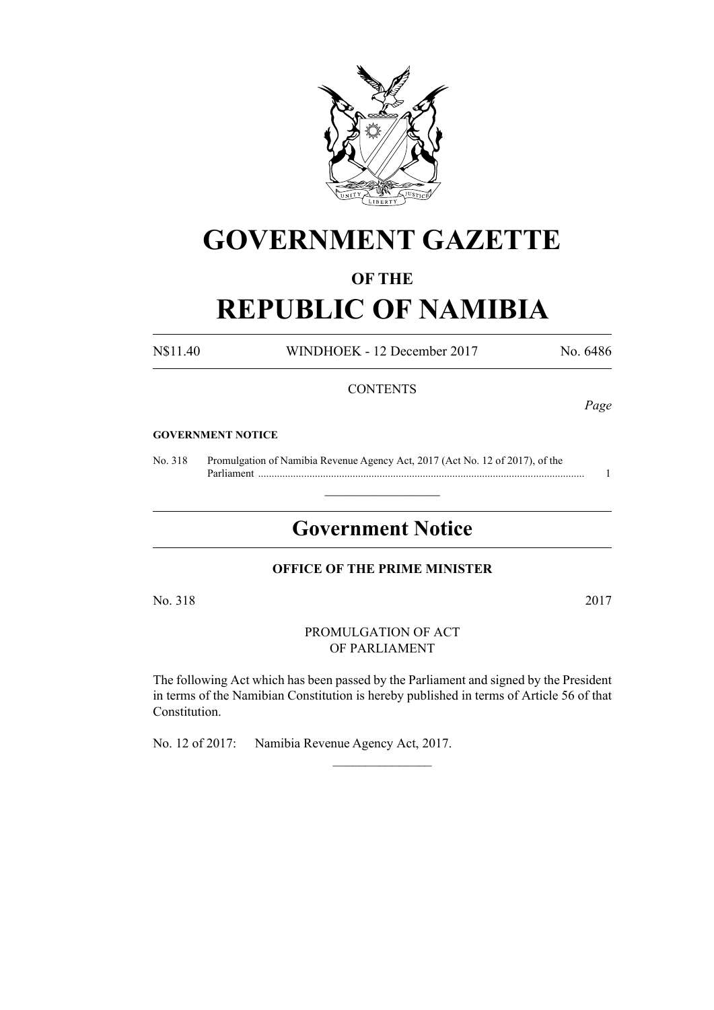

# **GOVERNMENT GAZETTE**

# **OF THE**

# **REPUBLIC OF NAMIBIA**

N\$11.40 WINDHOEK - 12 December 2017 No. 6486

## **CONTENTS**

*Page*

#### **GOVERNMENT NOTICE**

No. 318 Promulgation of Namibia Revenue Agency Act, 2017 (Act No. 12 of 2017), of the Parliament ......................................................................................................................... 1

# **Government Notice**

 $\frac{1}{2}$  ,  $\frac{1}{2}$  ,  $\frac{1}{2}$  ,  $\frac{1}{2}$  ,  $\frac{1}{2}$  ,  $\frac{1}{2}$  ,  $\frac{1}{2}$ 

#### **OFFICE OF THE PRIME MINISTER**

No. 318 2017

PROMULGATION OF ACT OF PARLIAMENT

The following Act which has been passed by the Parliament and signed by the President in terms of the Namibian Constitution is hereby published in terms of Article 56 of that Constitution.

 $\frac{1}{2}$ 

No. 12 of 2017: Namibia Revenue Agency Act, 2017.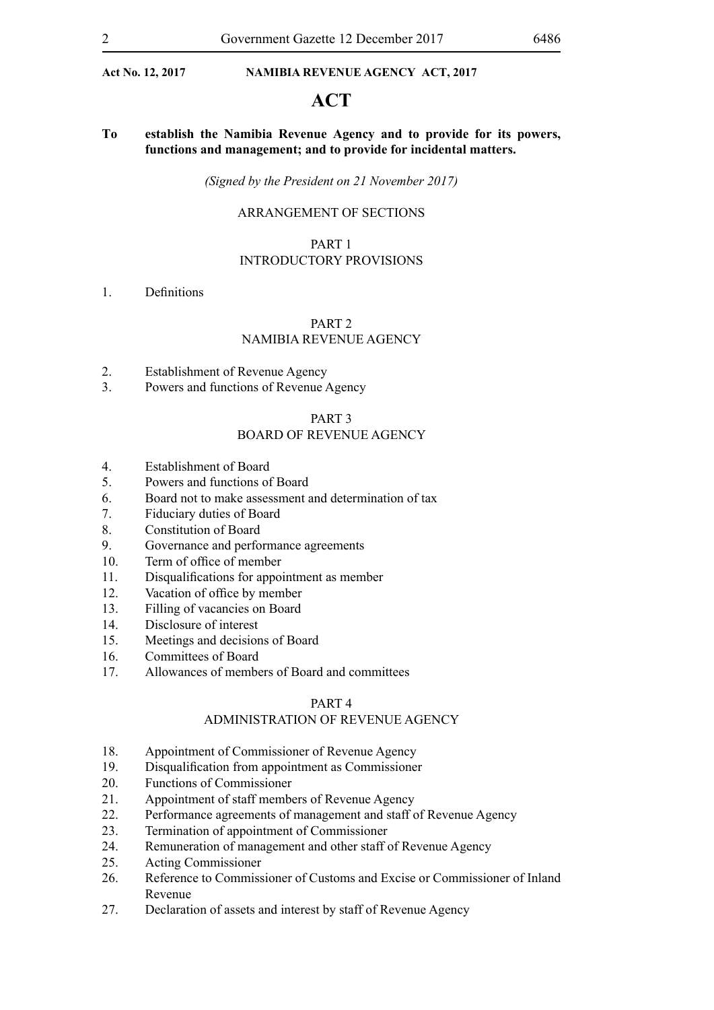# **ACT**

**To establish the Namibia Revenue Agency and to provide for its powers, functions and management; and to provide for incidental matters.**

*(Signed by the President on 21 November 2017)*

#### ARRANGEMENT OF SECTIONS

#### PART 1

#### INTRODUCTORY PROVISIONS

1. Definitions

#### PART 2 NAMIBIA REVENUE AGENCY

- 2. Establishment of Revenue Agency
- 3. Powers and functions of Revenue Agency

#### PART 3

#### BOARD OF REVENUE AGENCY

- 4. Establishment of Board
- 5. Powers and functions of Board
- 6. Board not to make assessment and determination of tax
- 7. Fiduciary duties of Board
- 8. Constitution of Board
- 9. Governance and performance agreements
- 10. Term of office of member
- 11. Disqualifications for appointment as member
- 12. Vacation of office by member
- 13. Filling of vacancies on Board
- 14. Disclosure of interest
- 15. Meetings and decisions of Board
- 16. Committees of Board
- 17. Allowances of members of Board and committees

#### PART 4

#### ADMINISTRATION OF REVENUE AGENCY

- 18. Appointment of Commissioner of Revenue Agency
- 19. Disqualification from appointment as Commissioner
- 20. Functions of Commissioner
- 21. Appointment of staff members of Revenue Agency
- 22. Performance agreements of management and staff of Revenue Agency
- 23. Termination of appointment of Commissioner
- 24. Remuneration of management and other staff of Revenue Agency
- 25. Acting Commissioner
- 26. Reference to Commissioner of Customs and Excise or Commissioner of Inland Revenue
- 27. Declaration of assets and interest by staff of Revenue Agency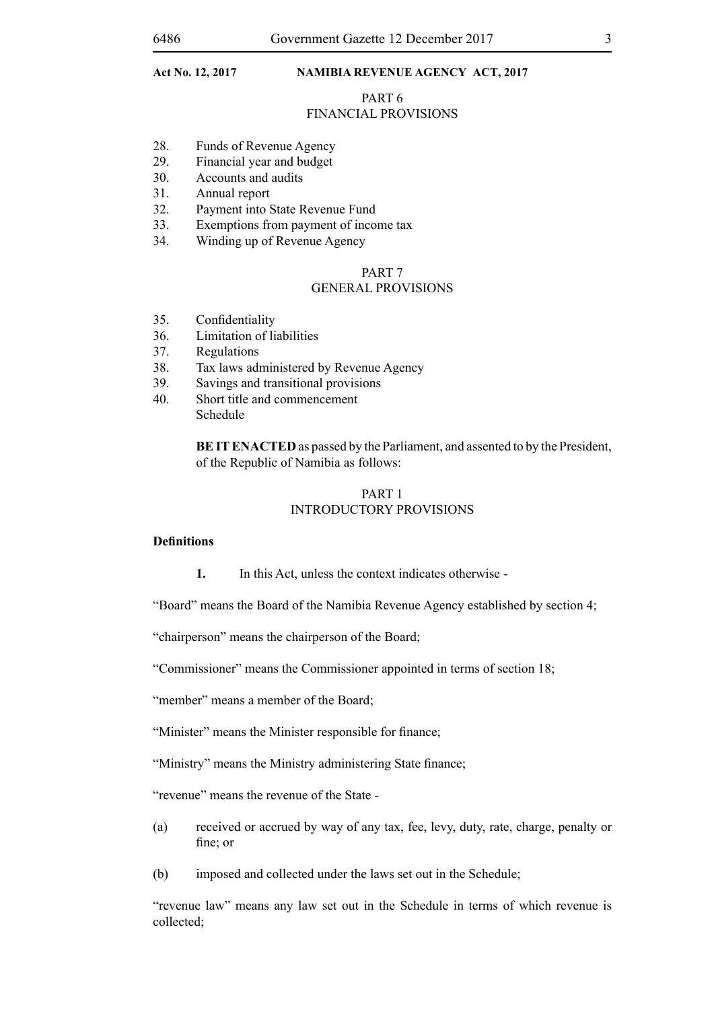# PART 6

#### FINANCIAL PROVISIONS

- 28. Funds of Revenue Agency
- 29. Financial year and budget
- 30. Accounts and audits
- 31. Annual report
- 32. Payment into State Revenue Fund
- 33. Exemptions from payment of income tax
- 34. Winding up of Revenue Agency

#### PART 7 GENERAL PROVISIONS

- 35. Confidentiality
- 36. Limitation of liabilities
- 37. Regulations
- 38. Tax laws administered by Revenue Agency
- 39. Savings and transitional provisions
- 40. Short title and commencement Schedule

**BE IT ENACTED** as passed by the Parliament, and assented to by the President, of the Republic of Namibia as follows:

#### PART 1 INTRODUCTORY PROVISIONS

#### **Definitions**

**1.** In this Act, unless the context indicates otherwise -

"Board" means the Board of the Namibia Revenue Agency established by section 4;

"chairperson" means the chairperson of the Board;

"Commissioner" means the Commissioner appointed in terms of section 18;

"member" means a member of the Board;

"Minister" means the Minister responsible for finance;

"Ministry" means the Ministry administering State finance;

"revenue" means the revenue of the State -

- (a) received or accrued by way of any tax, fee, levy, duty, rate, charge, penalty or fine; or
- (b) imposed and collected under the laws set out in the Schedule;

"revenue law" means any law set out in the Schedule in terms of which revenue is collected;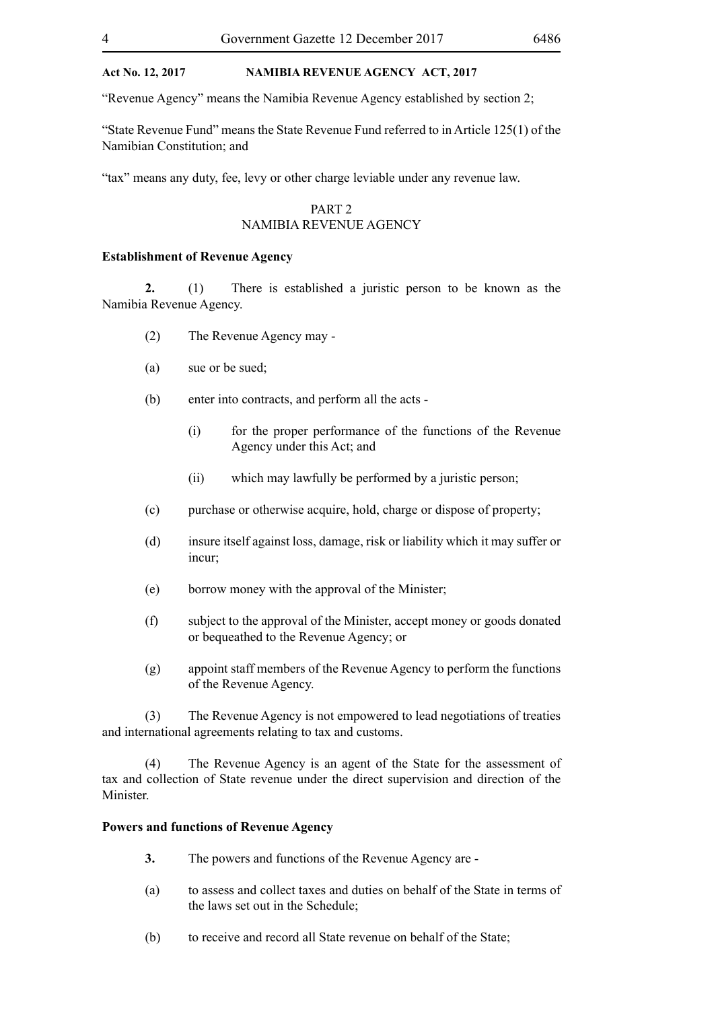"Revenue Agency" means the Namibia Revenue Agency established by section 2;

"State Revenue Fund" means the State Revenue Fund referred to in Article 125(1) of the Namibian Constitution; and

"tax" means any duty, fee, levy or other charge leviable under any revenue law.

#### PART 2

#### NAMIBIA REVENUE AGENCY

#### **Establishment of Revenue Agency**

**2.** (1) There is established a juristic person to be known as the Namibia Revenue Agency.

- (2) The Revenue Agency may -
- (a) sue or be sued;
- (b) enter into contracts, and perform all the acts
	- (i) for the proper performance of the functions of the Revenue Agency under this Act; and
	- (ii) which may lawfully be performed by a juristic person;
- (c) purchase or otherwise acquire, hold, charge or dispose of property;
- (d) insure itself against loss, damage, risk or liability which it may suffer or incur;
- (e) borrow money with the approval of the Minister;
- (f) subject to the approval of the Minister, accept money or goods donated or bequeathed to the Revenue Agency; or
- (g) appoint staff members of the Revenue Agency to perform the functions of the Revenue Agency.

(3) The Revenue Agency is not empowered to lead negotiations of treaties and international agreements relating to tax and customs.

(4) The Revenue Agency is an agent of the State for the assessment of tax and collection of State revenue under the direct supervision and direction of the Minister.

#### **Powers and functions of Revenue Agency**

- **3.** The powers and functions of the Revenue Agency are -
- (a) to assess and collect taxes and duties on behalf of the State in terms of the laws set out in the Schedule;
- (b) to receive and record all State revenue on behalf of the State;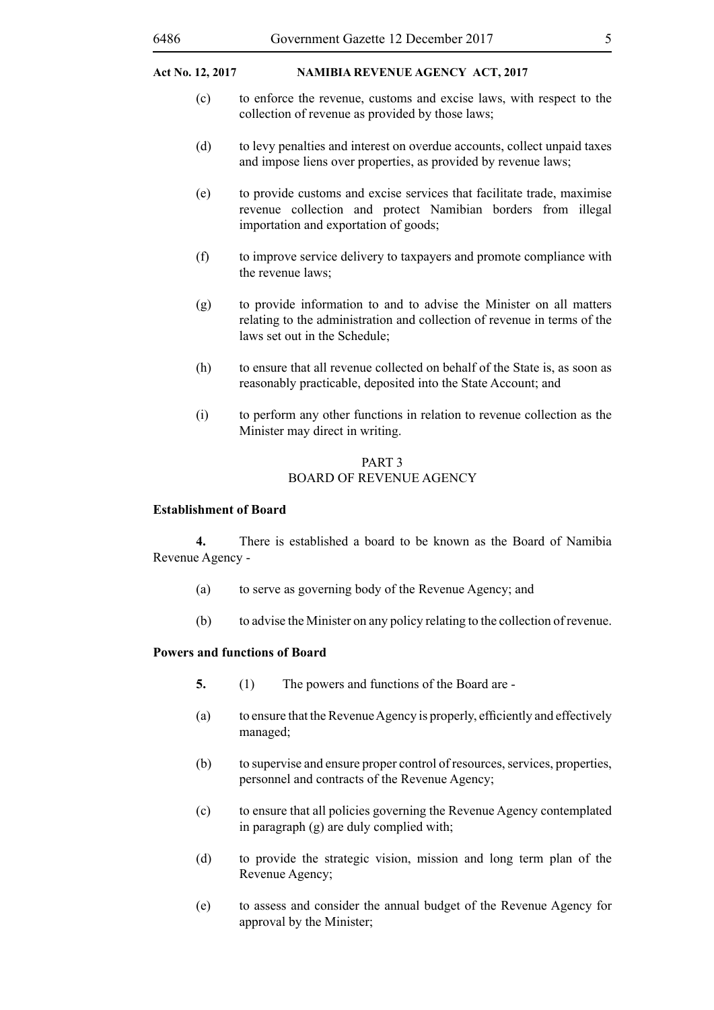- (c) to enforce the revenue, customs and excise laws, with respect to the collection of revenue as provided by those laws;
- (d) to levy penalties and interest on overdue accounts, collect unpaid taxes and impose liens over properties, as provided by revenue laws;
- (e) to provide customs and excise services that facilitate trade, maximise revenue collection and protect Namibian borders from illegal importation and exportation of goods;
- (f) to improve service delivery to taxpayers and promote compliance with the revenue laws;
- (g) to provide information to and to advise the Minister on all matters relating to the administration and collection of revenue in terms of the laws set out in the Schedule;
- (h) to ensure that all revenue collected on behalf of the State is, as soon as reasonably practicable, deposited into the State Account; and
- (i) to perform any other functions in relation to revenue collection as the Minister may direct in writing.

#### PART 3 BOARD OF REVENUE AGENCY

#### **Establishment of Board**

**4.** There is established a board to be known as the Board of Namibia Revenue Agency -

- (a) to serve as governing body of the Revenue Agency; and
- (b) to advise the Minister on any policy relating to the collection of revenue.

# **Powers and functions of Board**

- **5.** (1) The powers and functions of the Board are -
- (a) to ensure that the Revenue Agency is properly, efficiently and effectively managed;
- (b) to supervise and ensure proper control of resources, services, properties, personnel and contracts of the Revenue Agency;
- (c) to ensure that all policies governing the Revenue Agency contemplated in paragraph (g) are duly complied with;
- (d) to provide the strategic vision, mission and long term plan of the Revenue Agency;
- (e) to assess and consider the annual budget of the Revenue Agency for approval by the Minister;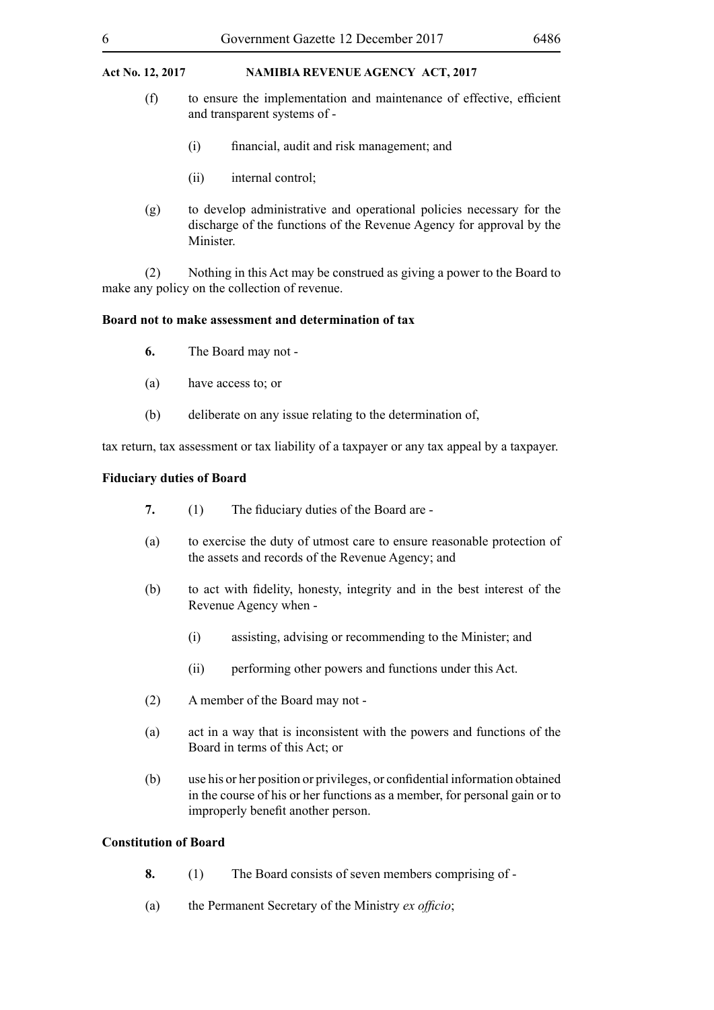- (f) to ensure the implementation and maintenance of effective, efficient and transparent systems of -
	- (i) financial, audit and risk management; and
	- (ii) internal control;
- (g) to develop administrative and operational policies necessary for the discharge of the functions of the Revenue Agency for approval by the Minister.

(2) Nothing in this Act may be construed as giving a power to the Board to make any policy on the collection of revenue.

#### **Board not to make assessment and determination of tax**

- **6.** The Board may not -
- (a) have access to; or
- (b) deliberate on any issue relating to the determination of,

tax return, tax assessment or tax liability of a taxpayer or any tax appeal by a taxpayer.

#### **Fiduciary duties of Board**

- **7.** (1) The fiduciary duties of the Board are -
- (a) to exercise the duty of utmost care to ensure reasonable protection of the assets and records of the Revenue Agency; and
- (b) to act with fidelity, honesty, integrity and in the best interest of the Revenue Agency when -
	- (i) assisting, advising or recommending to the Minister; and
	- (ii) performing other powers and functions under this Act.
- (2) A member of the Board may not -
- (a) act in a way that is inconsistent with the powers and functions of the Board in terms of this Act; or
- (b) use his or her position or privileges, or confidential information obtained in the course of his or her functions as a member, for personal gain or to improperly benefit another person.

#### **Constitution of Board**

- **8.** (1) The Board consists of seven members comprising of -
- (a) the Permanent Secretary of the Ministry *ex officio*;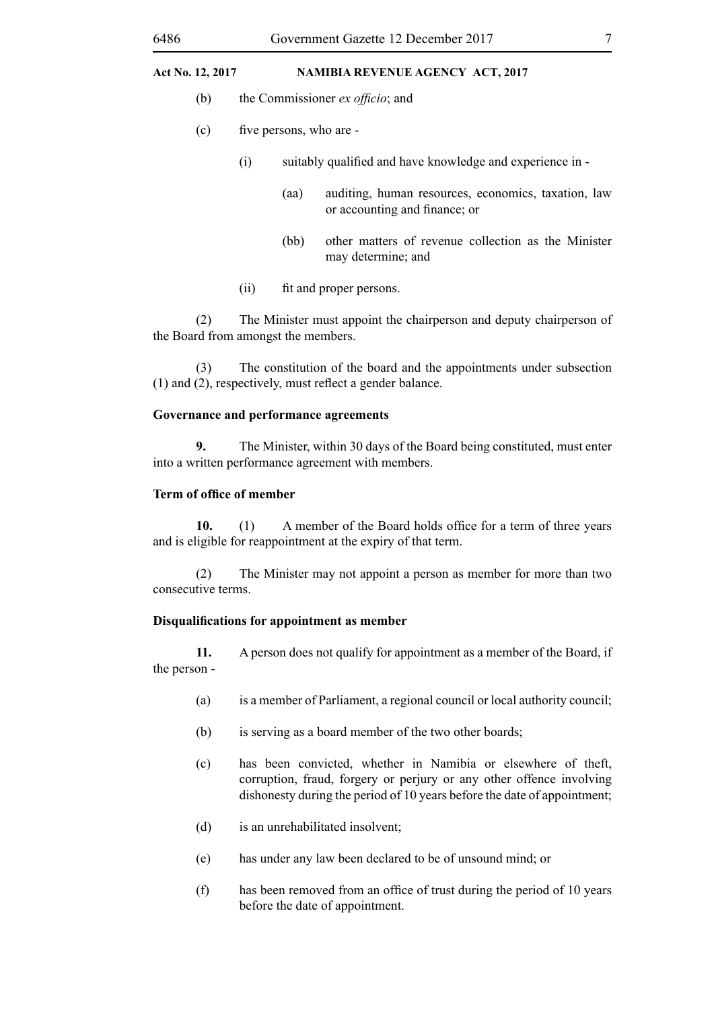- (b) the Commissioner *ex officio*; and
- (c) five persons, who are
	- (i) suitably qualified and have knowledge and experience in
		- (aa) auditing, human resources, economics, taxation, law or accounting and finance; or
		- (bb) other matters of revenue collection as the Minister may determine; and
	- (ii) fit and proper persons.

(2) The Minister must appoint the chairperson and deputy chairperson of the Board from amongst the members.

(3) The constitution of the board and the appointments under subsection (1) and (2), respectively, must reflect a gender balance.

#### **Governance and performance agreements**

**9.** The Minister, within 30 days of the Board being constituted, must enter into a written performance agreement with members.

#### **Term of office of member**

10. (1) A member of the Board holds office for a term of three years and is eligible for reappointment at the expiry of that term.

(2) The Minister may not appoint a person as member for more than two consecutive terms.

#### **Disqualifications for appointment as member**

**11.** A person does not qualify for appointment as a member of the Board, if the person -

- (a) is a member of Parliament, a regional council or local authority council;
- (b) is serving as a board member of the two other boards;
- (c) has been convicted, whether in Namibia or elsewhere of theft, corruption, fraud, forgery or perjury or any other offence involving dishonesty during the period of 10 years before the date of appointment;
- (d) is an unrehabilitated insolvent;
- (e) has under any law been declared to be of unsound mind; or
- (f) has been removed from an office of trust during the period of 10 years before the date of appointment.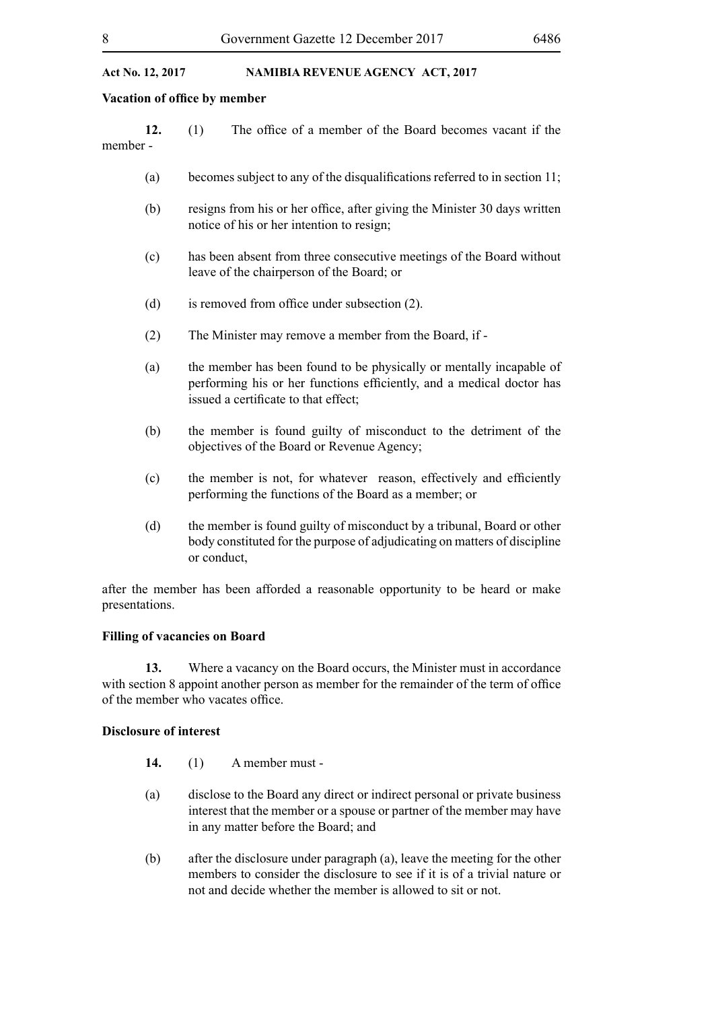#### **Vacation of office by member**

|          | The office of a member of the Board becomes vacant if the |  |  |  |  |
|----------|-----------------------------------------------------------|--|--|--|--|
| member - |                                                           |  |  |  |  |

- (a) becomes subject to any of the disqualifications referred to in section  $11$ ;
- (b) resigns from his or her office, after giving the Minister 30 days written notice of his or her intention to resign;
- (c) has been absent from three consecutive meetings of the Board without leave of the chairperson of the Board; or
- (d) is removed from office under subsection (2).
- (2) The Minister may remove a member from the Board, if -
- (a) the member has been found to be physically or mentally incapable of performing his or her functions efficiently, and a medical doctor has issued a certificate to that effect;
- (b) the member is found guilty of misconduct to the detriment of the objectives of the Board or Revenue Agency;
- (c) the member is not, for whatever reason, effectively and efficiently performing the functions of the Board as a member; or
- (d) the member is found guilty of misconduct by a tribunal, Board or other body constituted for the purpose of adjudicating on matters of discipline or conduct,

after the member has been afforded a reasonable opportunity to be heard or make presentations.

#### **Filling of vacancies on Board**

**13.** Where a vacancy on the Board occurs, the Minister must in accordance with section 8 appoint another person as member for the remainder of the term of office of the member who vacates office.

#### **Disclosure of interest**

- **14.** (1) A member must -
- (a) disclose to the Board any direct or indirect personal or private business interest that the member or a spouse or partner of the member may have in any matter before the Board; and
- (b) after the disclosure under paragraph (a), leave the meeting for the other members to consider the disclosure to see if it is of a trivial nature or not and decide whether the member is allowed to sit or not.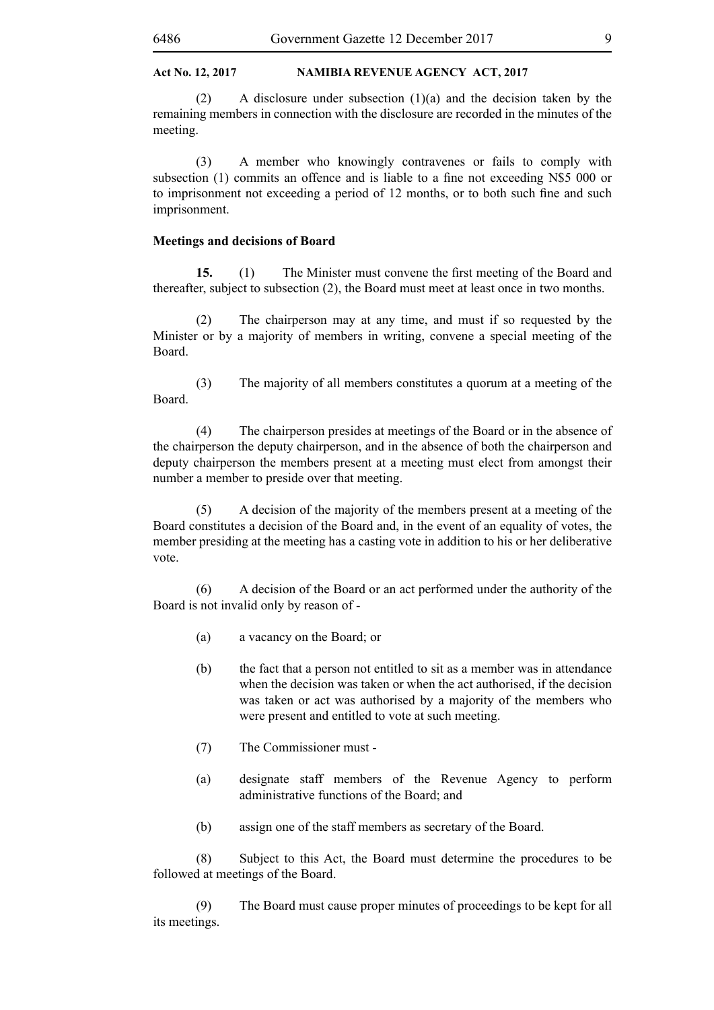(2) A disclosure under subsection (1)(a) and the decision taken by the remaining members in connection with the disclosure are recorded in the minutes of the meeting.

(3) A member who knowingly contravenes or fails to comply with subsection (1) commits an offence and is liable to a fine not exceeding N\$5 000 or to imprisonment not exceeding a period of 12 months, or to both such fine and such imprisonment.

#### **Meetings and decisions of Board**

**15.** (1) The Minister must convene the first meeting of the Board and thereafter, subject to subsection (2), the Board must meet at least once in two months.

(2) The chairperson may at any time, and must if so requested by the Minister or by a majority of members in writing, convene a special meeting of the Board.

(3) The majority of all members constitutes a quorum at a meeting of the Board.

(4) The chairperson presides at meetings of the Board or in the absence of the chairperson the deputy chairperson, and in the absence of both the chairperson and deputy chairperson the members present at a meeting must elect from amongst their number a member to preside over that meeting.

(5) A decision of the majority of the members present at a meeting of the Board constitutes a decision of the Board and, in the event of an equality of votes, the member presiding at the meeting has a casting vote in addition to his or her deliberative vote.

(6) A decision of the Board or an act performed under the authority of the Board is not invalid only by reason of -

- (a) a vacancy on the Board; or
- (b) the fact that a person not entitled to sit as a member was in attendance when the decision was taken or when the act authorised, if the decision was taken or act was authorised by a majority of the members who were present and entitled to vote at such meeting.
- (7) The Commissioner must -
- (a) designate staff members of the Revenue Agency to perform administrative functions of the Board; and
- (b) assign one of the staff members as secretary of the Board.

(8) Subject to this Act, the Board must determine the procedures to be followed at meetings of the Board.

(9) The Board must cause proper minutes of proceedings to be kept for all its meetings.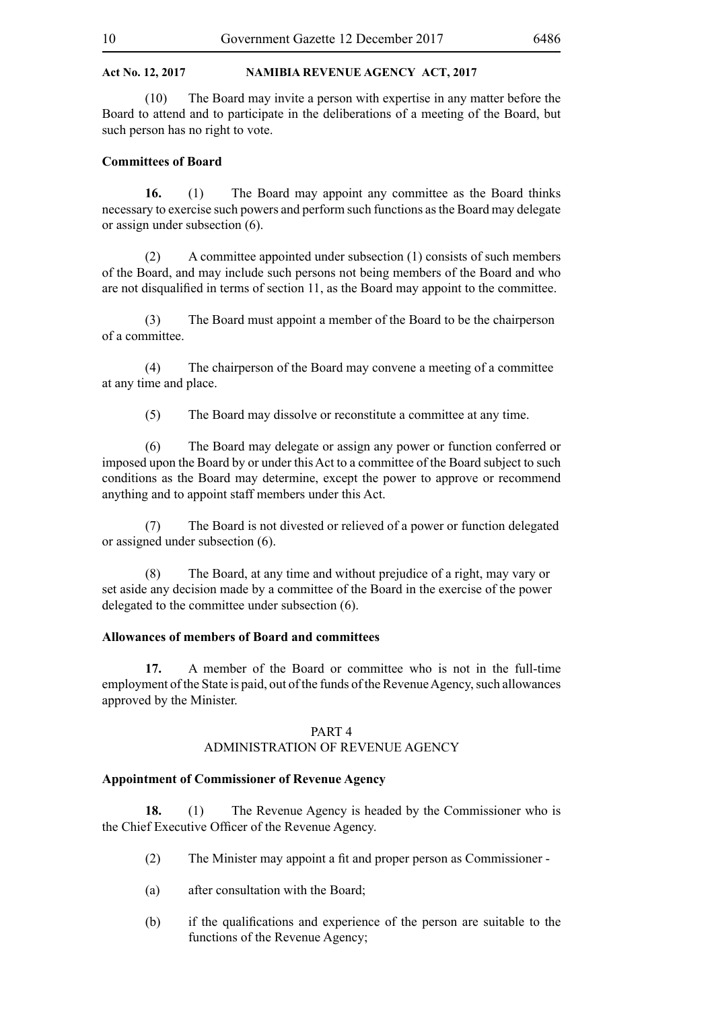(10) The Board may invite a person with expertise in any matter before the Board to attend and to participate in the deliberations of a meeting of the Board, but such person has no right to vote.

#### **Committees of Board**

**16.** (1) The Board may appoint any committee as the Board thinks necessary to exercise such powers and perform such functions as the Board may delegate or assign under subsection (6).

(2) A committee appointed under subsection (1) consists of such members of the Board, and may include such persons not being members of the Board and who are not disqualified in terms of section 11, as the Board may appoint to the committee.

(3) The Board must appoint a member of the Board to be the chairperson of a committee.

(4) The chairperson of the Board may convene a meeting of a committee at any time and place.

(5) The Board may dissolve or reconstitute a committee at any time.

(6) The Board may delegate or assign any power or function conferred or imposed upon the Board by or under this Act to a committee of the Board subject to such conditions as the Board may determine, except the power to approve or recommend anything and to appoint staff members under this Act.

(7) The Board is not divested or relieved of a power or function delegated or assigned under subsection (6).

(8) The Board, at any time and without prejudice of a right, may vary or set aside any decision made by a committee of the Board in the exercise of the power delegated to the committee under subsection (6).

#### **Allowances of members of Board and committees**

**17.** A member of the Board or committee who is not in the full-time employment of the State is paid, out of the funds of the Revenue Agency, such allowances approved by the Minister.

#### PART 4

#### ADMINISTRATION OF REVENUE AGENCY

#### **Appointment of Commissioner of Revenue Agency**

**18.** (1) The Revenue Agency is headed by the Commissioner who is the Chief Executive Officer of the Revenue Agency.

- (2) The Minister may appoint a fit and proper person as Commissioner -
- (a) after consultation with the Board;
- (b) if the qualifications and experience of the person are suitable to the functions of the Revenue Agency;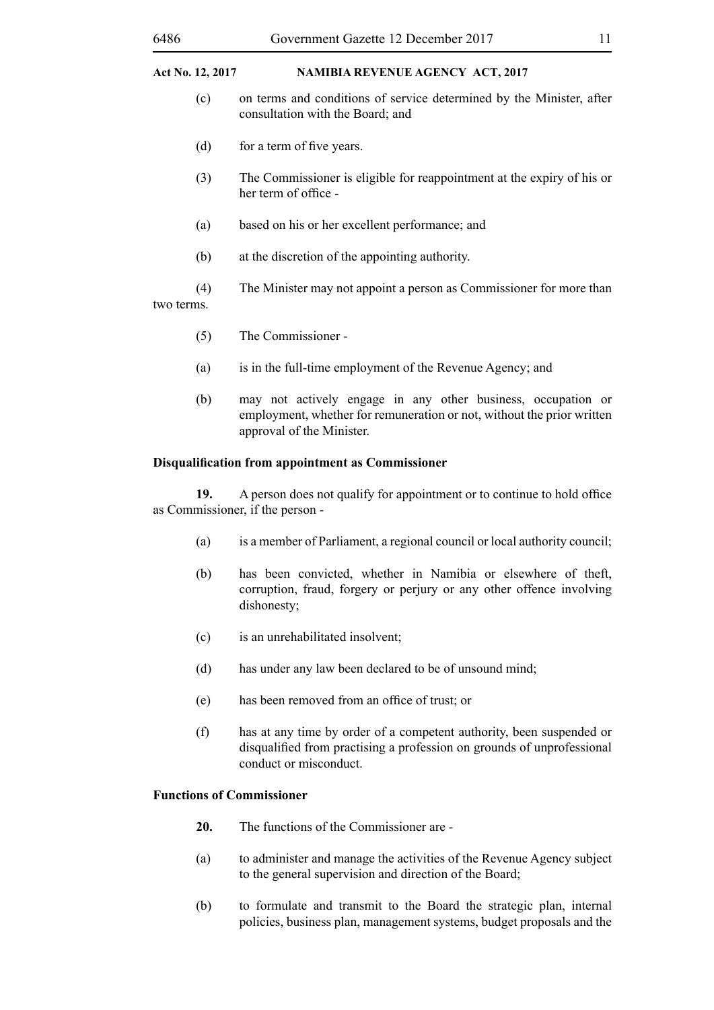- (c) on terms and conditions of service determined by the Minister, after consultation with the Board; and
- (d) for a term of five years.
- (3) The Commissioner is eligible for reappointment at the expiry of his or her term of office -
- (a) based on his or her excellent performance; and
- (b) at the discretion of the appointing authority.
- (4) The Minister may not appoint a person as Commissioner for more than two terms.
	- (5) The Commissioner -
	- (a) is in the full-time employment of the Revenue Agency; and
	- (b) may not actively engage in any other business, occupation or employment, whether for remuneration or not, without the prior written approval of the Minister.

#### **Disqualification from appointment as Commissioner**

**19.** A person does not qualify for appointment or to continue to hold office as Commissioner, if the person -

- (a) is a member of Parliament, a regional council or local authority council;
- (b) has been convicted, whether in Namibia or elsewhere of theft, corruption, fraud, forgery or perjury or any other offence involving dishonesty;
- (c) is an unrehabilitated insolvent;
- (d) has under any law been declared to be of unsound mind;
- (e) has been removed from an office of trust; or
- (f) has at any time by order of a competent authority, been suspended or disqualified from practising a profession on grounds of unprofessional conduct or misconduct.

#### **Functions of Commissioner**

- **20.** The functions of the Commissioner are -
- (a) to administer and manage the activities of the Revenue Agency subject to the general supervision and direction of the Board;
- (b) to formulate and transmit to the Board the strategic plan, internal policies, business plan, management systems, budget proposals and the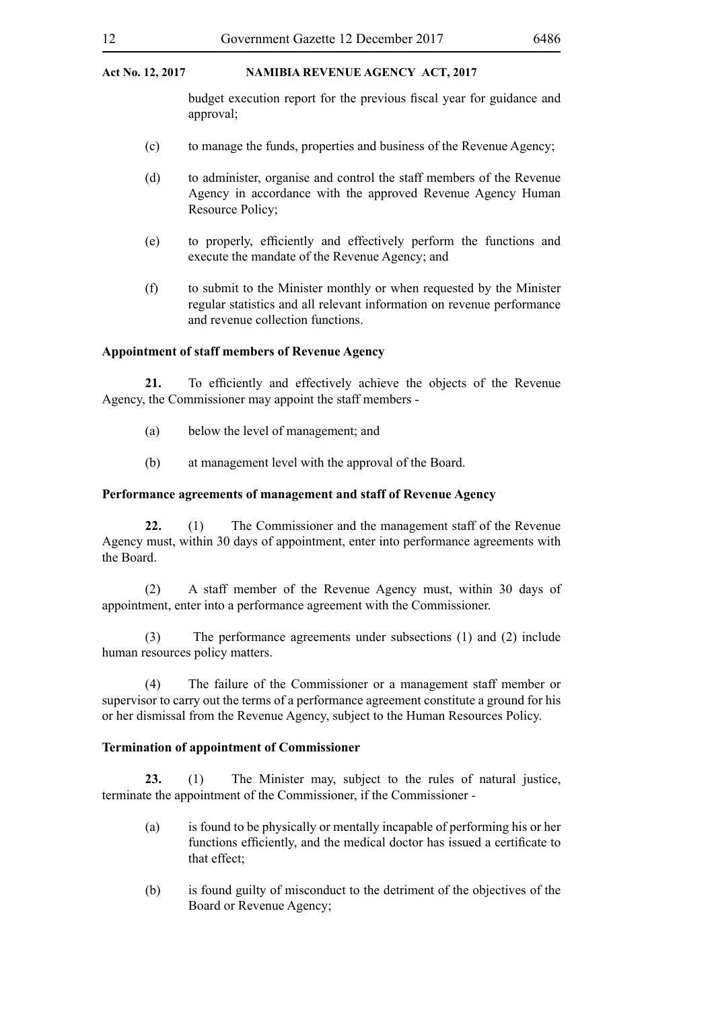budget execution report for the previous fiscal year for guidance and approval;

- (c) to manage the funds, properties and business of the Revenue Agency;
- (d) to administer, organise and control the staff members of the Revenue Agency in accordance with the approved Revenue Agency Human Resource Policy;
- (e) to properly, efficiently and effectively perform the functions and execute the mandate of the Revenue Agency; and
- (f) to submit to the Minister monthly or when requested by the Minister regular statistics and all relevant information on revenue performance and revenue collection functions.

#### **Appointment of staff members of Revenue Agency**

**21.** To efficiently and effectively achieve the objects of the Revenue Agency, the Commissioner may appoint the staff members -

- (a) below the level of management; and
- (b) at management level with the approval of the Board.

#### **Performance agreements of management and staff of Revenue Agency**

**22.** (1) The Commissioner and the management staff of the Revenue Agency must, within 30 days of appointment, enter into performance agreements with the Board.

(2) A staff member of the Revenue Agency must, within 30 days of appointment, enter into a performance agreement with the Commissioner.

(3) The performance agreements under subsections (1) and (2) include human resources policy matters.

(4) The failure of the Commissioner or a management staff member or supervisor to carry out the terms of a performance agreement constitute a ground for his or her dismissal from the Revenue Agency, subject to the Human Resources Policy.

#### **Termination of appointment of Commissioner**

**23.** (1) The Minister may, subject to the rules of natural justice, terminate the appointment of the Commissioner, if the Commissioner -

- (a) is found to be physically or mentally incapable of performing his or her functions efficiently, and the medical doctor has issued a certificate to that effect;
- (b) is found guilty of misconduct to the detriment of the objectives of the Board or Revenue Agency;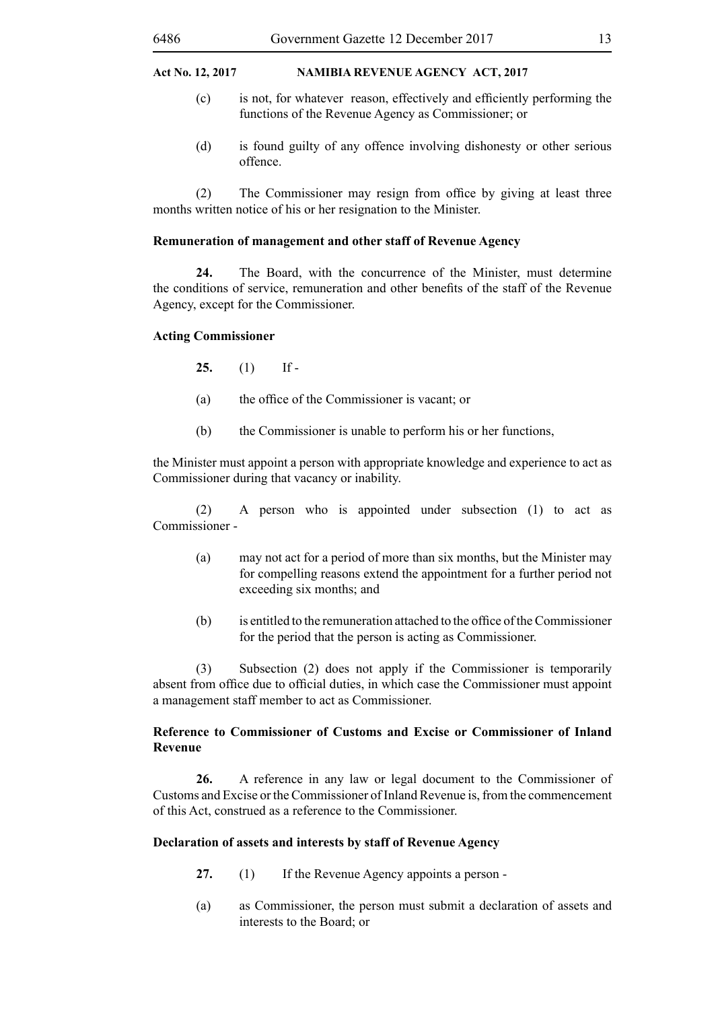- (c) is not, for whatever reason, effectively and efficiently performing the functions of the Revenue Agency as Commissioner; or
- (d) is found guilty of any offence involving dishonesty or other serious offence.

(2) The Commissioner may resign from office by giving at least three months written notice of his or her resignation to the Minister.

#### **Remuneration of management and other staff of Revenue Agency**

**24.** The Board, with the concurrence of the Minister, must determine the conditions of service, remuneration and other benefits of the staff of the Revenue Agency, except for the Commissioner.

#### **Acting Commissioner**

**25.** (1) If -

- (a) the office of the Commissioner is vacant; or
- (b) the Commissioner is unable to perform his or her functions,

the Minister must appoint a person with appropriate knowledge and experience to act as Commissioner during that vacancy or inability.

(2) A person who is appointed under subsection (1) to act as Commissioner -

- (a) may not act for a period of more than six months, but the Minister may for compelling reasons extend the appointment for a further period not exceeding six months; and
- (b) is entitled to the remuneration attached to the office of the Commissioner for the period that the person is acting as Commissioner.

(3) Subsection (2) does not apply if the Commissioner is temporarily absent from office due to official duties, in which case the Commissioner must appoint a management staff member to act as Commissioner.

#### **Reference to Commissioner of Customs and Excise or Commissioner of Inland Revenue**

**26.** A reference in any law or legal document to the Commissioner of Customs and Excise or the Commissioner of Inland Revenue is, from the commencement of this Act, construed as a reference to the Commissioner.

#### **Declaration of assets and interests by staff of Revenue Agency**

- **27.** (1) If the Revenue Agency appoints a person -
- (a) as Commissioner, the person must submit a declaration of assets and interests to the Board; or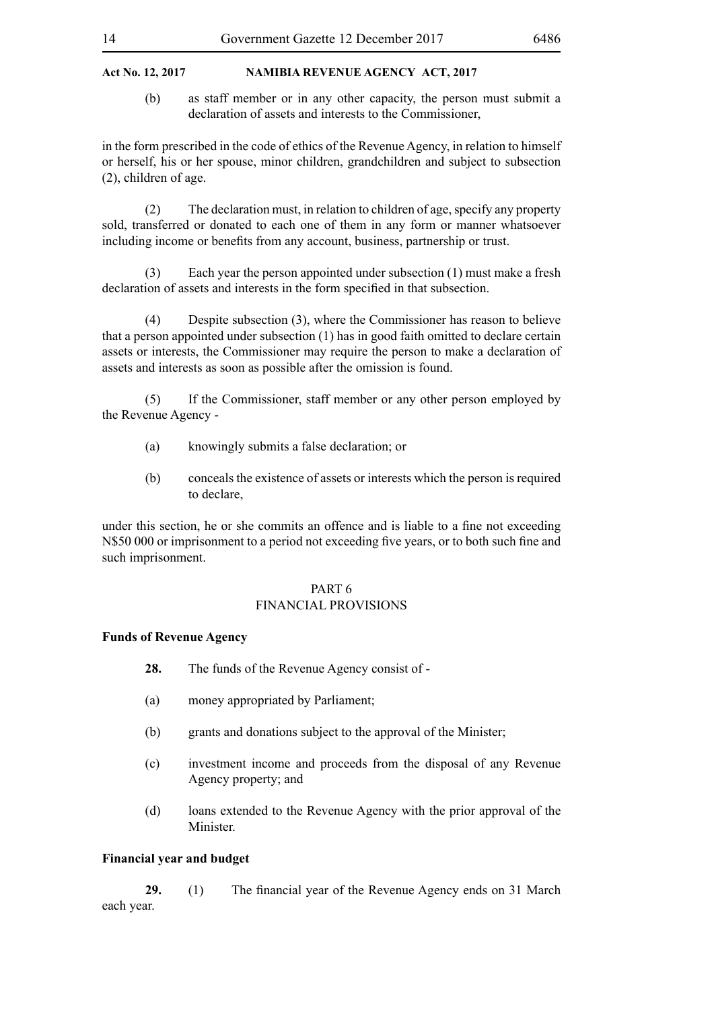(b) as staff member or in any other capacity, the person must submit a declaration of assets and interests to the Commissioner,

in the form prescribed in the code of ethics of the Revenue Agency, in relation to himself or herself, his or her spouse, minor children, grandchildren and subject to subsection (2), children of age.

(2) The declaration must, in relation to children of age, specify any property sold, transferred or donated to each one of them in any form or manner whatsoever including income or benefits from any account, business, partnership or trust.

(3) Each year the person appointed under subsection (1) must make a fresh declaration of assets and interests in the form specified in that subsection.

(4) Despite subsection (3), where the Commissioner has reason to believe that a person appointed under subsection (1) has in good faith omitted to declare certain assets or interests, the Commissioner may require the person to make a declaration of assets and interests as soon as possible after the omission is found.

(5) If the Commissioner, staff member or any other person employed by the Revenue Agency -

- (a) knowingly submits a false declaration; or
- (b) conceals the existence of assets or interests which the person is required to declare,

under this section, he or she commits an offence and is liable to a fine not exceeding N\$50 000 or imprisonment to a period not exceeding five years, or to both such fine and such imprisonment.

#### PART 6 FINANCIAL PROVISIONS

#### **Funds of Revenue Agency**

- **28.** The funds of the Revenue Agency consist of -
- (a) money appropriated by Parliament;
- (b) grants and donations subject to the approval of the Minister;
- (c) investment income and proceeds from the disposal of any Revenue Agency property; and
- (d) loans extended to the Revenue Agency with the prior approval of the **Minister**

#### **Financial year and budget**

**29.** (1) The financial year of the Revenue Agency ends on 31 March each year.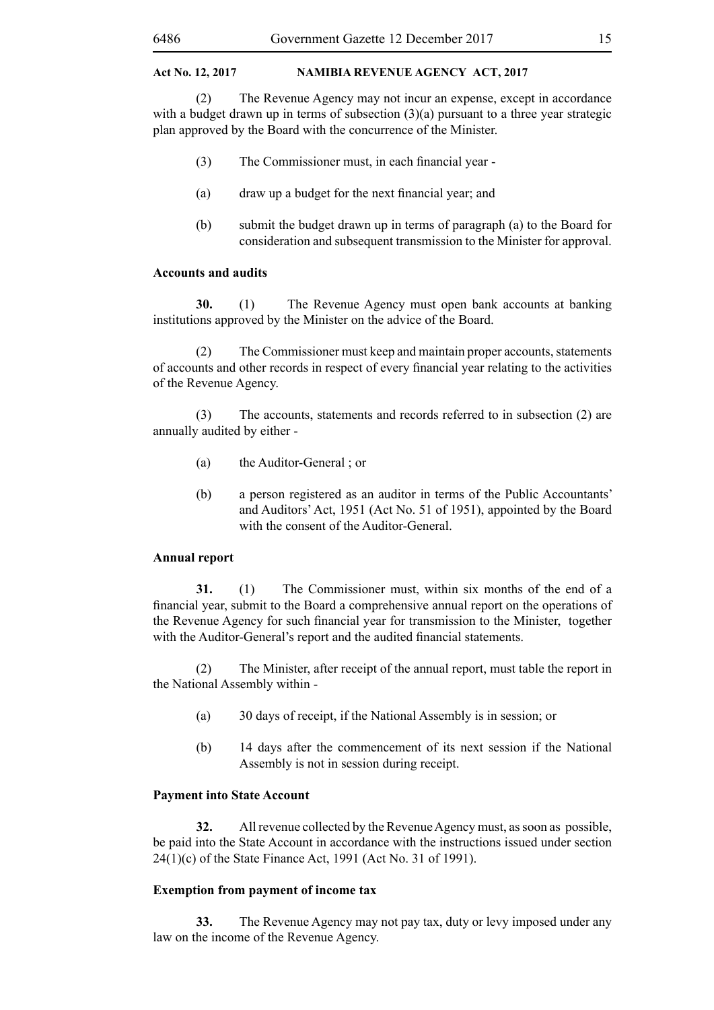(2) The Revenue Agency may not incur an expense, except in accordance with a budget drawn up in terms of subsection (3)(a) pursuant to a three year strategic plan approved by the Board with the concurrence of the Minister.

- (3) The Commissioner must, in each financial year -
- (a) draw up a budget for the next financial year; and
- (b) submit the budget drawn up in terms of paragraph (a) to the Board for consideration and subsequent transmission to the Minister for approval.

#### **Accounts and audits**

**30.** (1) The Revenue Agency must open bank accounts at banking institutions approved by the Minister on the advice of the Board.

(2) The Commissioner must keep and maintain proper accounts, statements of accounts and other records in respect of every financial year relating to the activities of the Revenue Agency.

(3) The accounts, statements and records referred to in subsection (2) are annually audited by either -

- (a) the Auditor-General ; or
- (b) a person registered as an auditor in terms of the Public Accountants' and Auditors' Act, 1951 (Act No. 51 of 1951), appointed by the Board with the consent of the Auditor-General.

#### **Annual report**

**31.** (1) The Commissioner must, within six months of the end of a financial year, submit to the Board a comprehensive annual report on the operations of the Revenue Agency for such financial year for transmission to the Minister, together with the Auditor-General's report and the audited financial statements.

(2) The Minister, after receipt of the annual report, must table the report in the National Assembly within -

- (a) 30 days of receipt, if the National Assembly is in session; or
- (b) 14 days after the commencement of its next session if the National Assembly is not in session during receipt.

#### **Payment into State Account**

**32.** All revenue collected by the Revenue Agency must, as soon as possible, be paid into the State Account in accordance with the instructions issued under section 24(1)(c) of the State Finance Act, 1991 (Act No. 31 of 1991).

#### **Exemption from payment of income tax**

**33.** The Revenue Agency may not pay tax, duty or levy imposed under any law on the income of the Revenue Agency.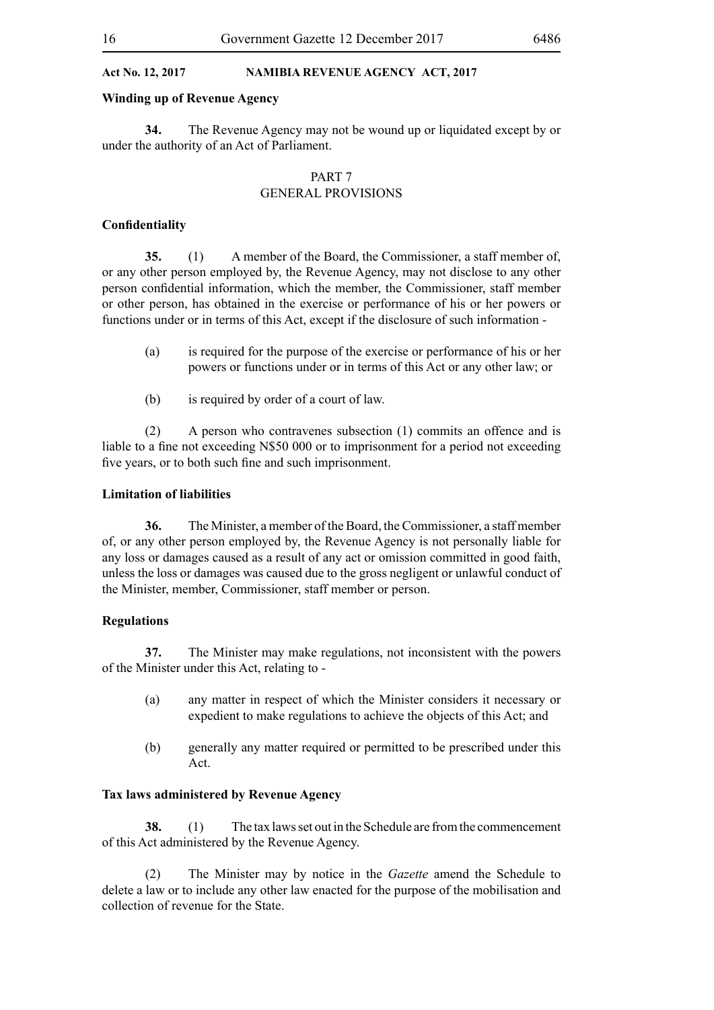#### **Winding up of Revenue Agency**

**34.** The Revenue Agency may not be wound up or liquidated except by or under the authority of an Act of Parliament.

#### PART 7 GENERAL PROVISIONS

#### **Confidentiality**

**35.** (1) A member of the Board, the Commissioner, a staff member of, or any other person employed by, the Revenue Agency, may not disclose to any other person confidential information, which the member, the Commissioner, staff member or other person, has obtained in the exercise or performance of his or her powers or functions under or in terms of this Act, except if the disclosure of such information -

- (a) is required for the purpose of the exercise or performance of his or her powers or functions under or in terms of this Act or any other law; or
- (b) is required by order of a court of law.

(2) A person who contravenes subsection (1) commits an offence and is liable to a fine not exceeding N\$50 000 or to imprisonment for a period not exceeding five years, or to both such fine and such imprisonment.

#### **Limitation of liabilities**

**36.** The Minister, a member of the Board, the Commissioner, a staff member of, or any other person employed by, the Revenue Agency is not personally liable for any loss or damages caused as a result of any act or omission committed in good faith, unless the loss or damages was caused due to the gross negligent or unlawful conduct of the Minister, member, Commissioner, staff member or person.

#### **Regulations**

**37.** The Minister may make regulations, not inconsistent with the powers of the Minister under this Act, relating to -

- (a) any matter in respect of which the Minister considers it necessary or expedient to make regulations to achieve the objects of this Act; and
- (b) generally any matter required or permitted to be prescribed under this Act.

#### **Tax laws administered by Revenue Agency**

**38.** (1) The tax laws set out in the Schedule are from the commencement of this Act administered by the Revenue Agency.

(2) The Minister may by notice in the *Gazette* amend the Schedule to delete a law or to include any other law enacted for the purpose of the mobilisation and collection of revenue for the State.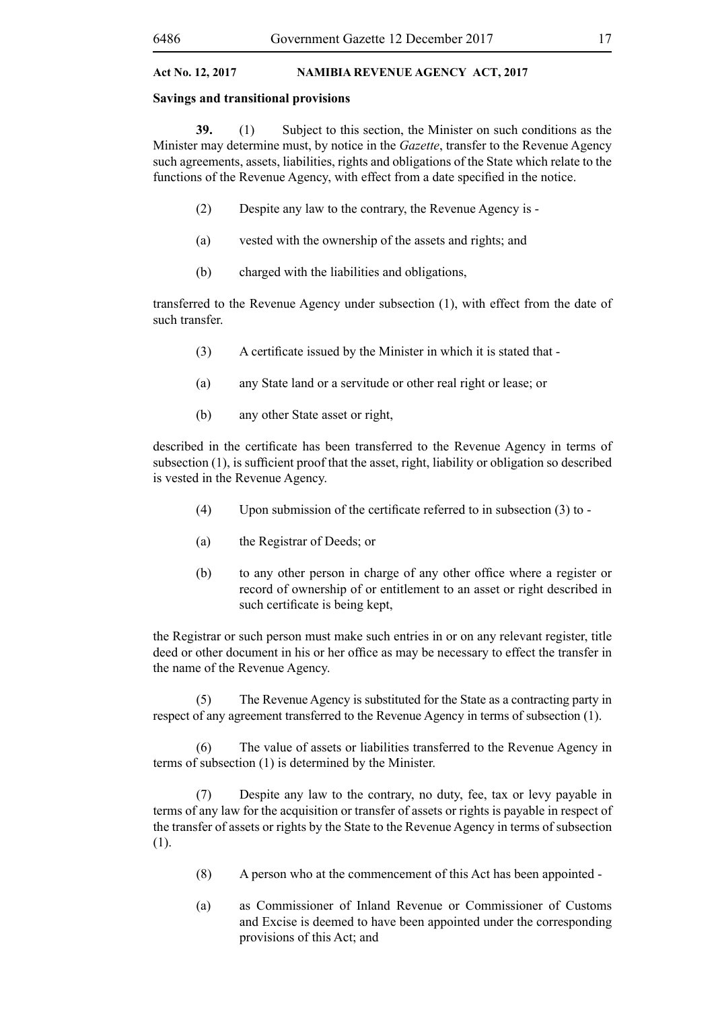#### **Savings and transitional provisions**

**39.** (1) Subject to this section, the Minister on such conditions as the Minister may determine must, by notice in the *Gazette*, transfer to the Revenue Agency such agreements, assets, liabilities, rights and obligations of the State which relate to the functions of the Revenue Agency, with effect from a date specified in the notice.

- (2) Despite any law to the contrary, the Revenue Agency is -
- (a) vested with the ownership of the assets and rights; and
- (b) charged with the liabilities and obligations,

transferred to the Revenue Agency under subsection (1), with effect from the date of such transfer.

- (3) A certificate issued by the Minister in which it is stated that -
- (a) any State land or a servitude or other real right or lease; or
- (b) any other State asset or right,

described in the certificate has been transferred to the Revenue Agency in terms of subsection (1), is sufficient proof that the asset, right, liability or obligation so described is vested in the Revenue Agency.

- (4) Upon submission of the certificate referred to in subsection  $(3)$  to -
- (a) the Registrar of Deeds; or
- (b) to any other person in charge of any other office where a register or record of ownership of or entitlement to an asset or right described in such certificate is being kept,

the Registrar or such person must make such entries in or on any relevant register, title deed or other document in his or her office as may be necessary to effect the transfer in the name of the Revenue Agency.

(5) The Revenue Agency is substituted for the State as a contracting party in respect of any agreement transferred to the Revenue Agency in terms of subsection (1).

(6) The value of assets or liabilities transferred to the Revenue Agency in terms of subsection (1) is determined by the Minister.

(7) Despite any law to the contrary, no duty, fee, tax or levy payable in terms of any law for the acquisition or transfer of assets or rights is payable in respect of the transfer of assets or rights by the State to the Revenue Agency in terms of subsection (1).

- (8) A person who at the commencement of this Act has been appointed -
- (a) as Commissioner of Inland Revenue or Commissioner of Customs and Excise is deemed to have been appointed under the corresponding provisions of this Act; and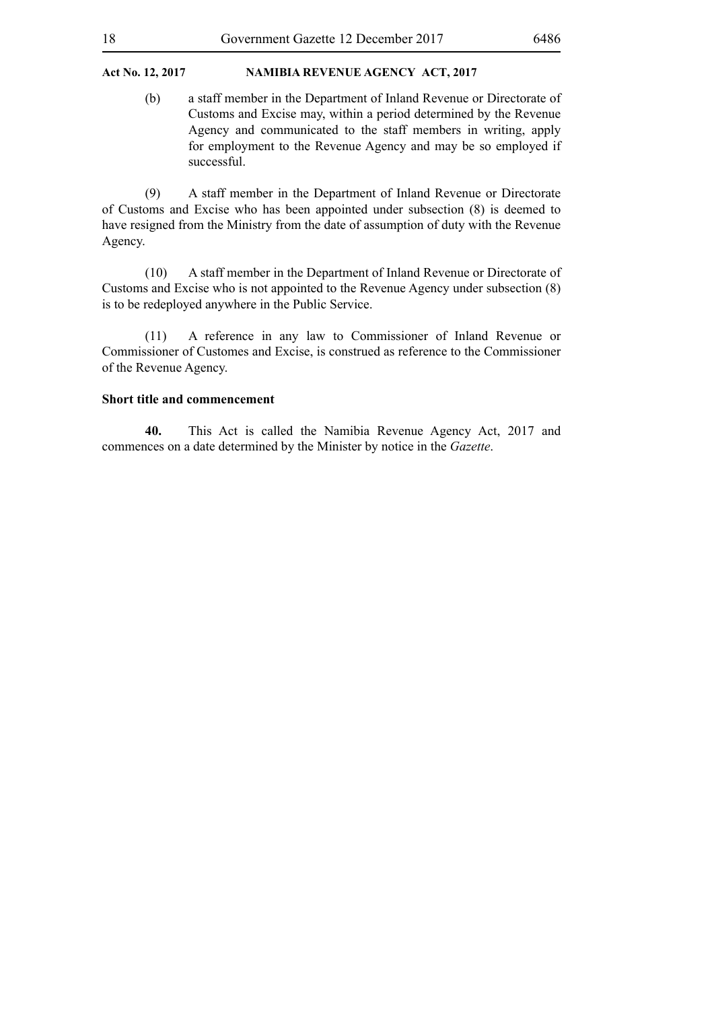(b) a staff member in the Department of Inland Revenue or Directorate of Customs and Excise may, within a period determined by the Revenue Agency and communicated to the staff members in writing, apply for employment to the Revenue Agency and may be so employed if successful.

(9) A staff member in the Department of Inland Revenue or Directorate of Customs and Excise who has been appointed under subsection (8) is deemed to have resigned from the Ministry from the date of assumption of duty with the Revenue Agency.

(10) A staff member in the Department of Inland Revenue or Directorate of Customs and Excise who is not appointed to the Revenue Agency under subsection (8) is to be redeployed anywhere in the Public Service.

(11) A reference in any law to Commissioner of Inland Revenue or Commissioner of Customes and Excise, is construed as reference to the Commissioner of the Revenue Agency.

#### **Short title and commencement**

**40.** This Act is called the Namibia Revenue Agency Act, 2017 and commences on a date determined by the Minister by notice in the *Gazette*.